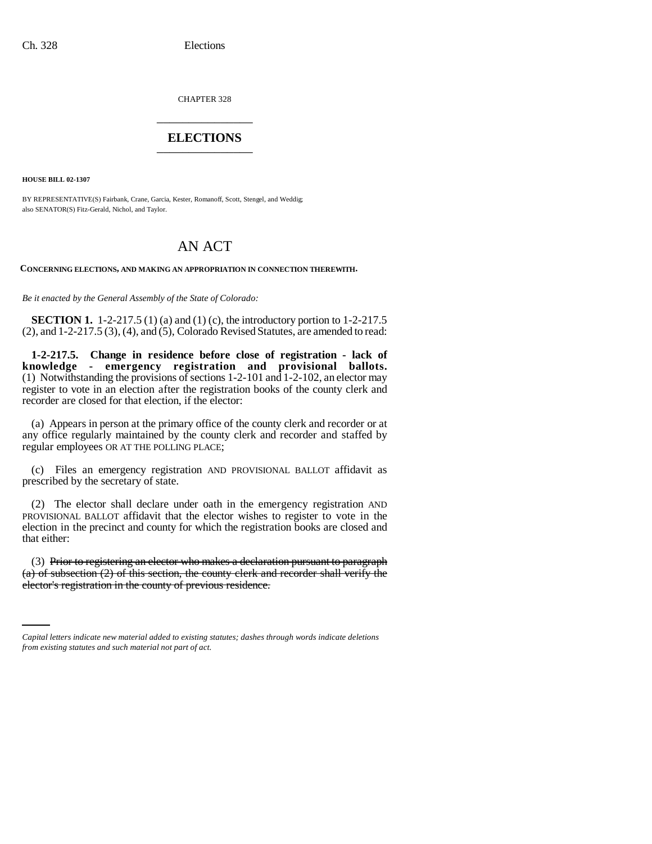CHAPTER 328 \_\_\_\_\_\_\_\_\_\_\_\_\_\_\_

# **ELECTIONS** \_\_\_\_\_\_\_\_\_\_\_\_\_\_\_

**HOUSE BILL 02-1307**

BY REPRESENTATIVE(S) Fairbank, Crane, Garcia, Kester, Romanoff, Scott, Stengel, and Weddig; also SENATOR(S) Fitz-Gerald, Nichol, and Taylor.

# AN ACT

**CONCERNING ELECTIONS, AND MAKING AN APPROPRIATION IN CONNECTION THEREWITH.**

*Be it enacted by the General Assembly of the State of Colorado:*

**SECTION 1.** 1-2-217.5 (1) (a) and (1) (c), the introductory portion to 1-2-217.5 (2), and 1-2-217.5 (3), (4), and (5), Colorado Revised Statutes, are amended to read:

**1-2-217.5. Change in residence before close of registration - lack of knowledge - emergency registration and provisional ballots.** (1) Notwithstanding the provisions of sections 1-2-101 and 1-2-102, an elector may register to vote in an election after the registration books of the county clerk and recorder are closed for that election, if the elector:

(a) Appears in person at the primary office of the county clerk and recorder or at any office regularly maintained by the county clerk and recorder and staffed by regular employees OR AT THE POLLING PLACE;

(c) Files an emergency registration AND PROVISIONAL BALLOT affidavit as prescribed by the secretary of state.

(2) The elector shall declare under oath in the emergency registration AND PROVISIONAL BALLOT affidavit that the elector wishes to register to vote in the election in the precinct and county for which the registration books are closed and that either:

(a) of subsection  $(2)$  of this section, the county clerk and recorder shall verify the (3) Prior to registering an elector who makes a declaration pursuant to paragraph elector's registration in the county of previous residence.

*Capital letters indicate new material added to existing statutes; dashes through words indicate deletions from existing statutes and such material not part of act.*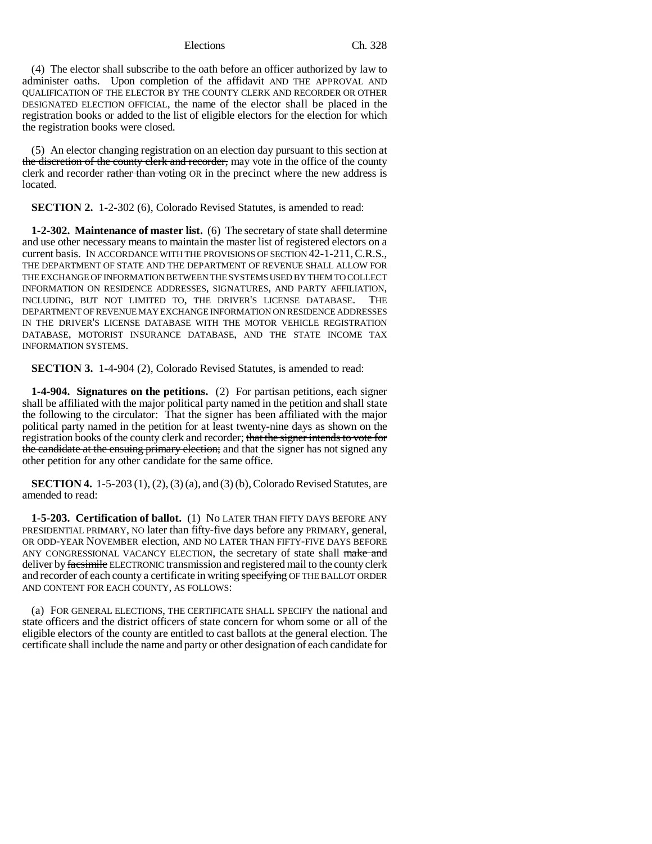(4) The elector shall subscribe to the oath before an officer authorized by law to administer oaths. Upon completion of the affidavit AND THE APPROVAL AND QUALIFICATION OF THE ELECTOR BY THE COUNTY CLERK AND RECORDER OR OTHER DESIGNATED ELECTION OFFICIAL, the name of the elector shall be placed in the registration books or added to the list of eligible electors for the election for which the registration books were closed.

(5) An elector changing registration on an election day pursuant to this section at the discretion of the county clerk and recorder, may vote in the office of the county clerk and recorder rather than voting OR in the precinct where the new address is located.

**SECTION 2.** 1-2-302 (6), Colorado Revised Statutes, is amended to read:

**1-2-302. Maintenance of master list.** (6) The secretary of state shall determine and use other necessary means to maintain the master list of registered electors on a current basis. IN ACCORDANCE WITH THE PROVISIONS OF SECTION 42-1-211,C.R.S., THE DEPARTMENT OF STATE AND THE DEPARTMENT OF REVENUE SHALL ALLOW FOR THE EXCHANGE OF INFORMATION BETWEEN THE SYSTEMS USED BY THEM TO COLLECT INFORMATION ON RESIDENCE ADDRESSES, SIGNATURES, AND PARTY AFFILIATION, INCLUDING, BUT NOT LIMITED TO, THE DRIVER'S LICENSE DATABASE. THE DEPARTMENT OF REVENUE MAY EXCHANGE INFORMATION ON RESIDENCE ADDRESSES IN THE DRIVER'S LICENSE DATABASE WITH THE MOTOR VEHICLE REGISTRATION DATABASE, MOTORIST INSURANCE DATABASE, AND THE STATE INCOME TAX INFORMATION SYSTEMS.

**SECTION 3.** 1-4-904 (2), Colorado Revised Statutes, is amended to read:

**1-4-904. Signatures on the petitions.** (2) For partisan petitions, each signer shall be affiliated with the major political party named in the petition and shall state the following to the circulator: That the signer has been affiliated with the major political party named in the petition for at least twenty-nine days as shown on the registration books of the county clerk and recorder; that the signer intends to vote for the candidate at the ensuing primary election; and that the signer has not signed any other petition for any other candidate for the same office.

**SECTION 4.** 1-5-203 (1), (2), (3) (a), and (3) (b), Colorado Revised Statutes, are amended to read:

**1-5-203. Certification of ballot.** (1) No LATER THAN FIFTY DAYS BEFORE ANY PRESIDENTIAL PRIMARY, NO later than fifty-five days before any PRIMARY, general, OR ODD-YEAR NOVEMBER election, AND NO LATER THAN FIFTY-FIVE DAYS BEFORE ANY CONGRESSIONAL VACANCY ELECTION, the secretary of state shall make and deliver by facsimile ELECTRONIC transmission and registered mail to the county clerk and recorder of each county a certificate in writing specifying OF THE BALLOT ORDER AND CONTENT FOR EACH COUNTY, AS FOLLOWS:

(a) FOR GENERAL ELECTIONS, THE CERTIFICATE SHALL SPECIFY the national and state officers and the district officers of state concern for whom some or all of the eligible electors of the county are entitled to cast ballots at the general election. The certificate shall include the name and party or other designation of each candidate for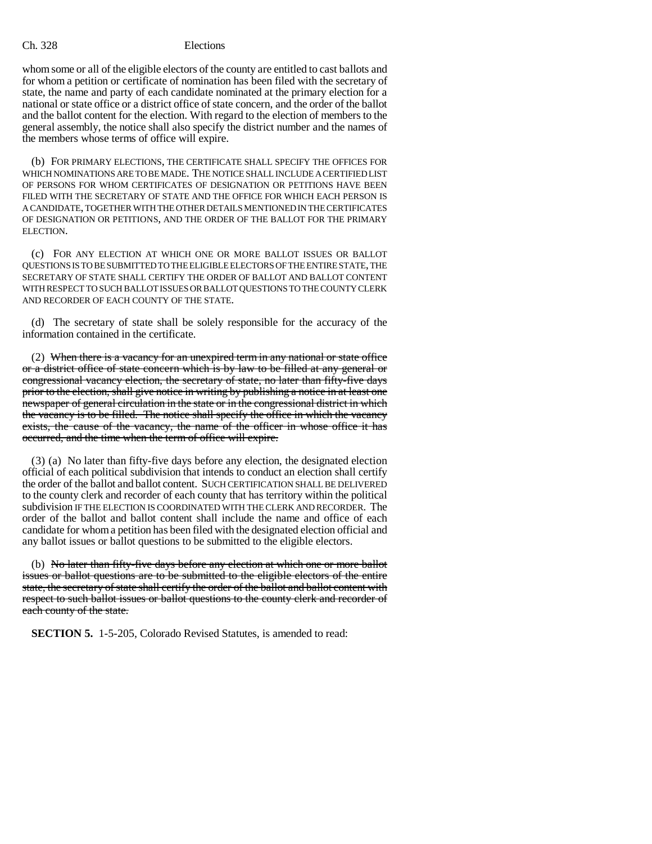whom some or all of the eligible electors of the county are entitled to cast ballots and for whom a petition or certificate of nomination has been filed with the secretary of state, the name and party of each candidate nominated at the primary election for a national or state office or a district office of state concern, and the order of the ballot and the ballot content for the election. With regard to the election of members to the general assembly, the notice shall also specify the district number and the names of the members whose terms of office will expire.

(b) FOR PRIMARY ELECTIONS, THE CERTIFICATE SHALL SPECIFY THE OFFICES FOR WHICH NOMINATIONS ARE TO BE MADE. THE NOTICE SHALL INCLUDE A CERTIFIED LIST OF PERSONS FOR WHOM CERTIFICATES OF DESIGNATION OR PETITIONS HAVE BEEN FILED WITH THE SECRETARY OF STATE AND THE OFFICE FOR WHICH EACH PERSON IS A CANDIDATE, TOGETHER WITH THE OTHER DETAILS MENTIONED IN THE CERTIFICATES OF DESIGNATION OR PETITIONS, AND THE ORDER OF THE BALLOT FOR THE PRIMARY ELECTION.

(c) FOR ANY ELECTION AT WHICH ONE OR MORE BALLOT ISSUES OR BALLOT QUESTIONS IS TO BE SUBMITTED TO THE ELIGIBLE ELECTORS OF THE ENTIRE STATE, THE SECRETARY OF STATE SHALL CERTIFY THE ORDER OF BALLOT AND BALLOT CONTENT WITH RESPECT TO SUCH BALLOT ISSUES OR BALLOT QUESTIONS TO THE COUNTY CLERK AND RECORDER OF EACH COUNTY OF THE STATE.

(d) The secretary of state shall be solely responsible for the accuracy of the information contained in the certificate.

(2) When there is a vacancy for an unexpired term in any national or state office or a district office of state concern which is by law to be filled at any general or congressional vacancy election, the secretary of state, no later than fifty-five days prior to the election, shall give notice in writing by publishing a notice in at least one newspaper of general circulation in the state or in the congressional district in which the vacancy is to be filled. The notice shall specify the office in which the vacancy exists, the cause of the vacancy, the name of the officer in whose office it has occurred, and the time when the term of office will expire.

(3) (a) No later than fifty-five days before any election, the designated election official of each political subdivision that intends to conduct an election shall certify the order of the ballot and ballot content. SUCH CERTIFICATION SHALL BE DELIVERED to the county clerk and recorder of each county that has territory within the political subdivision IF THE ELECTION IS COORDINATED WITH THE CLERK AND RECORDER. The order of the ballot and ballot content shall include the name and office of each candidate for whom a petition has been filed with the designated election official and any ballot issues or ballot questions to be submitted to the eligible electors.

(b) No later than fifty-five days before any election at which one or more ballot issues or ballot questions are to be submitted to the eligible electors of the entire state, the secretary of state shall certify the order of the ballot and ballot content with respect to such ballot issues or ballot questions to the county clerk and recorder of each county of the state.

**SECTION 5.** 1-5-205, Colorado Revised Statutes, is amended to read: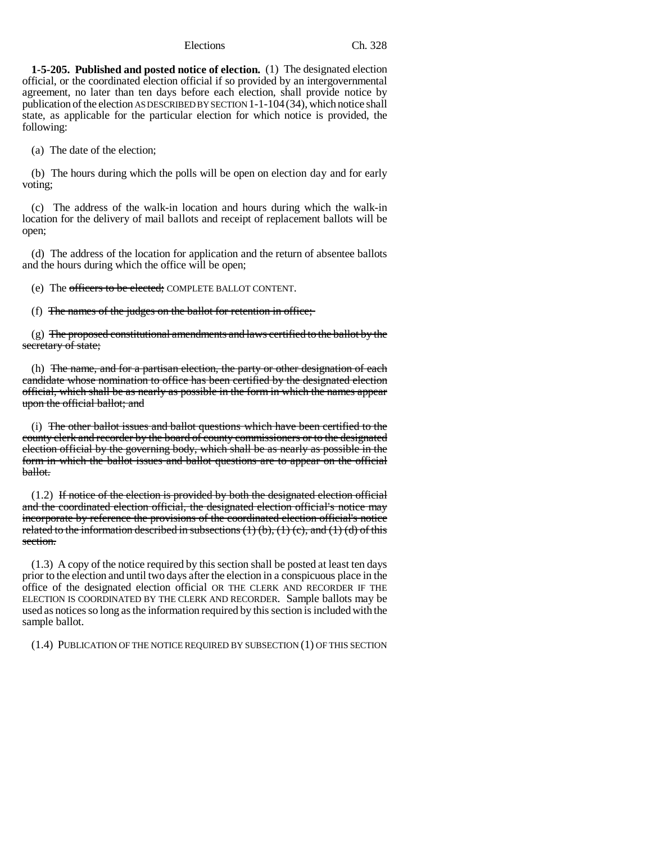**1-5-205. Published and posted notice of election.** (1) The designated election official, or the coordinated election official if so provided by an intergovernmental agreement, no later than ten days before each election, shall provide notice by publication of the election AS DESCRIBED BY SECTION 1-1-104(34), which notice shall state, as applicable for the particular election for which notice is provided, the following:

(a) The date of the election;

(b) The hours during which the polls will be open on election day and for early voting;

(c) The address of the walk-in location and hours during which the walk-in location for the delivery of mail ballots and receipt of replacement ballots will be open;

(d) The address of the location for application and the return of absentee ballots and the hours during which the office will be open;

(e) The officers to be elected; COMPLETE BALLOT CONTENT.

(f) The names of the judges on the ballot for retention in office;

(g) The proposed constitutional amendments and laws certified to the ballot by the secretary of state;

(h) The name, and for a partisan election, the party or other designation of each candidate whose nomination to office has been certified by the designated election official, which shall be as nearly as possible in the form in which the names appear upon the official ballot; and

(i) The other ballot issues and ballot questions which have been certified to the county clerk and recorder by the board of county commissioners or to the designated election official by the governing body, which shall be as nearly as possible in the form in which the ballot issues and ballot questions are to appear on the official ballot.

(1.2) If notice of the election is provided by both the designated election official and the coordinated election official, the designated election official's notice may incorporate by reference the provisions of the coordinated election official's notice related to the information described in subsections  $(1)$  (b),  $(1)$  (c), and  $(1)$  (d) of this section.

(1.3) A copy of the notice required by this section shall be posted at least ten days prior to the election and until two days after the election in a conspicuous place in the office of the designated election official OR THE CLERK AND RECORDER IF THE ELECTION IS COORDINATED BY THE CLERK AND RECORDER. Sample ballots may be used as notices so long as the information required by this section is included with the sample ballot.

(1.4) PUBLICATION OF THE NOTICE REQUIRED BY SUBSECTION (1) OF THIS SECTION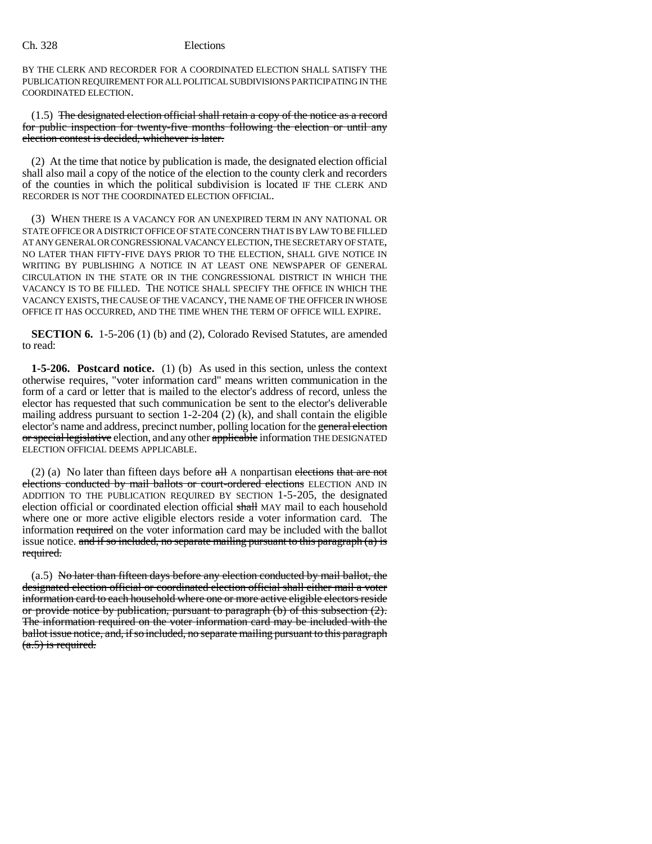BY THE CLERK AND RECORDER FOR A COORDINATED ELECTION SHALL SATISFY THE PUBLICATION REQUIREMENT FOR ALL POLITICAL SUBDIVISIONS PARTICIPATING IN THE COORDINATED ELECTION.

(1.5) The designated election official shall retain a copy of the notice as a record for public inspection for twenty-five months following the election or until any election contest is decided, whichever is later.

(2) At the time that notice by publication is made, the designated election official shall also mail a copy of the notice of the election to the county clerk and recorders of the counties in which the political subdivision is located IF THE CLERK AND RECORDER IS NOT THE COORDINATED ELECTION OFFICIAL.

(3) WHEN THERE IS A VACANCY FOR AN UNEXPIRED TERM IN ANY NATIONAL OR STATE OFFICE OR A DISTRICT OFFICE OF STATE CONCERN THAT IS BY LAW TO BE FILLED AT ANY GENERAL OR CONGRESSIONAL VACANCY ELECTION, THE SECRETARY OF STATE, NO LATER THAN FIFTY-FIVE DAYS PRIOR TO THE ELECTION, SHALL GIVE NOTICE IN WRITING BY PUBLISHING A NOTICE IN AT LEAST ONE NEWSPAPER OF GENERAL CIRCULATION IN THE STATE OR IN THE CONGRESSIONAL DISTRICT IN WHICH THE VACANCY IS TO BE FILLED. THE NOTICE SHALL SPECIFY THE OFFICE IN WHICH THE VACANCY EXISTS, THE CAUSE OF THE VACANCY, THE NAME OF THE OFFICER IN WHOSE OFFICE IT HAS OCCURRED, AND THE TIME WHEN THE TERM OF OFFICE WILL EXPIRE.

**SECTION 6.** 1-5-206 (1) (b) and (2), Colorado Revised Statutes, are amended to read:

**1-5-206. Postcard notice.** (1) (b) As used in this section, unless the context otherwise requires, "voter information card" means written communication in the form of a card or letter that is mailed to the elector's address of record, unless the elector has requested that such communication be sent to the elector's deliverable mailing address pursuant to section 1-2-204 (2) (k), and shall contain the eligible elector's name and address, precinct number, polling location for the general election or special legislative election, and any other applicable information THE DESIGNATED ELECTION OFFICIAL DEEMS APPLICABLE.

(2) (a) No later than fifteen days before  $\alpha$ H A nonpartisan elections that are not elections conducted by mail ballots or court-ordered elections ELECTION AND IN ADDITION TO THE PUBLICATION REQUIRED BY SECTION 1-5-205, the designated election official or coordinated election official shall MAY mail to each household where one or more active eligible electors reside a voter information card. The information required on the voter information card may be included with the ballot issue notice. and if so included, no separate mailing pursuant to this paragraph  $(a)$  is required.

(a.5) No later than fifteen days before any election conducted by mail ballot, the designated election official or coordinated election official shall either mail a voter information card to each household where one or more active eligible electors reside or provide notice by publication, pursuant to paragraph (b) of this subsection (2). The information required on the voter information card may be included with the ballot issue notice, and, if so included, no separate mailing pursuant to this paragraph (a.5) is required.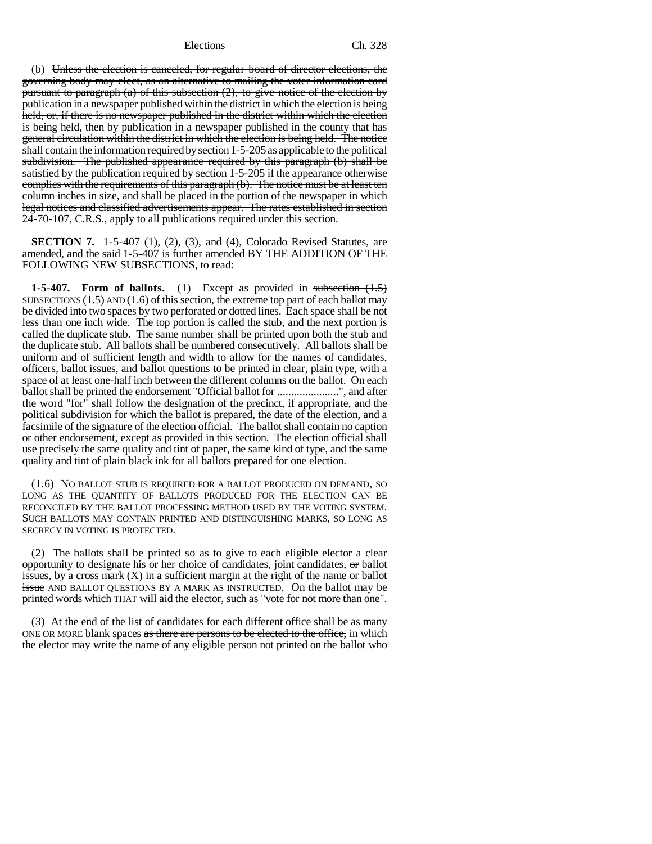(b) Unless the election is canceled, for regular board of director elections, the governing body may elect, as an alternative to mailing the voter information card pursuant to paragraph (a) of this subsection (2), to give notice of the election by publication in a newspaper published within the district in which the election is being held, or, if there is no newspaper published in the district within which the election is being held, then by publication in a newspaper published in the county that has general circulation within the district in which the election is being held. The notice shall contain the information required by section 1-5-205 as applicable to the political subdivision. The published appearance required by this paragraph (b) shall be satisfied by the publication required by section 1-5-205 if the appearance otherwise complies with the requirements of this paragraph (b). The notice must be at least ten column inches in size, and shall be placed in the portion of the newspaper in which legal notices and classified advertisements appear. The rates established in section 24-70-107, C.R.S., apply to all publications required under this section.

**SECTION 7.** 1-5-407 (1), (2), (3), and (4), Colorado Revised Statutes, are amended, and the said 1-5-407 is further amended BY THE ADDITION OF THE FOLLOWING NEW SUBSECTIONS, to read:

**1-5-407.** Form of ballots. (1) Except as provided in subsection  $(1.5)$ SUBSECTIONS  $(1.5)$  AND  $(1.6)$  of this section, the extreme top part of each ballot may be divided into two spaces by two perforated or dotted lines. Each space shall be not less than one inch wide. The top portion is called the stub, and the next portion is called the duplicate stub. The same number shall be printed upon both the stub and the duplicate stub. All ballots shall be numbered consecutively. All ballots shall be uniform and of sufficient length and width to allow for the names of candidates, officers, ballot issues, and ballot questions to be printed in clear, plain type, with a space of at least one-half inch between the different columns on the ballot. On each ballot shall be printed the endorsement "Official ballot for ........................", and after the word "for" shall follow the designation of the precinct, if appropriate, and the political subdivision for which the ballot is prepared, the date of the election, and a facsimile of the signature of the election official. The ballot shall contain no caption or other endorsement, except as provided in this section. The election official shall use precisely the same quality and tint of paper, the same kind of type, and the same quality and tint of plain black ink for all ballots prepared for one election.

(1.6) NO BALLOT STUB IS REQUIRED FOR A BALLOT PRODUCED ON DEMAND, SO LONG AS THE QUANTITY OF BALLOTS PRODUCED FOR THE ELECTION CAN BE RECONCILED BY THE BALLOT PROCESSING METHOD USED BY THE VOTING SYSTEM. SUCH BALLOTS MAY CONTAIN PRINTED AND DISTINGUISHING MARKS, SO LONG AS SECRECY IN VOTING IS PROTECTED.

(2) The ballots shall be printed so as to give to each eligible elector a clear opportunity to designate his or her choice of candidates, joint candidates, or ballot issues, by a cross mark  $(X)$  in a sufficient margin at the right of the name or ballot **issue** AND BALLOT QUESTIONS BY A MARK AS INSTRUCTED. On the ballot may be printed words which THAT will aid the elector, such as "vote for not more than one".

(3) At the end of the list of candidates for each different office shall be as many ONE OR MORE blank spaces as there are persons to be elected to the office, in which the elector may write the name of any eligible person not printed on the ballot who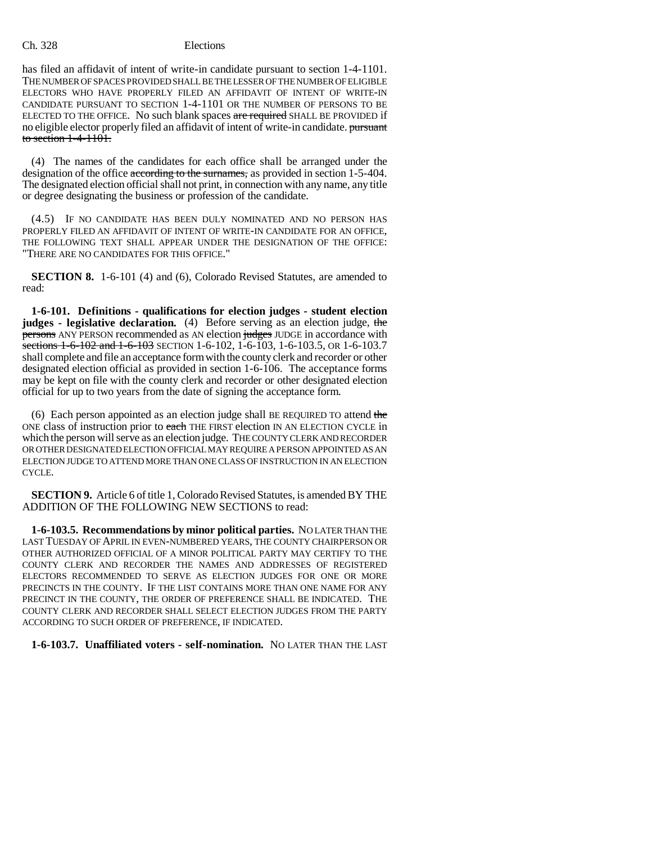has filed an affidavit of intent of write-in candidate pursuant to section 1-4-1101. THE NUMBER OF SPACES PROVIDED SHALL BE THE LESSER OF THE NUMBER OF ELIGIBLE ELECTORS WHO HAVE PROPERLY FILED AN AFFIDAVIT OF INTENT OF WRITE-IN CANDIDATE PURSUANT TO SECTION 1-4-1101 OR THE NUMBER OF PERSONS TO BE ELECTED TO THE OFFICE. No such blank spaces are required SHALL BE PROVIDED if no eligible elector properly filed an affidavit of intent of write-in candidate. pursuant to section 1-4-1101.

(4) The names of the candidates for each office shall be arranged under the designation of the office according to the surnames, as provided in section 1-5-404. The designated election official shall not print, in connection with any name, any title or degree designating the business or profession of the candidate.

(4.5) IF NO CANDIDATE HAS BEEN DULY NOMINATED AND NO PERSON HAS PROPERLY FILED AN AFFIDAVIT OF INTENT OF WRITE-IN CANDIDATE FOR AN OFFICE, THE FOLLOWING TEXT SHALL APPEAR UNDER THE DESIGNATION OF THE OFFICE: "THERE ARE NO CANDIDATES FOR THIS OFFICE."

**SECTION 8.** 1-6-101 (4) and (6), Colorado Revised Statutes, are amended to read:

**1-6-101. Definitions - qualifications for election judges - student election judges** - legislative declaration. (4) Before serving as an election judge, the persons ANY PERSON recommended as AN election judges JUDGE in accordance with sections 1-6-102 and 1-6-103 SECTION 1-6-102, 1-6-103, 1-6-103.5, OR 1-6-103.7 shall complete and file an acceptance form with the county clerk and recorder or other designated election official as provided in section 1-6-106. The acceptance forms may be kept on file with the county clerk and recorder or other designated election official for up to two years from the date of signing the acceptance form.

(6) Each person appointed as an election judge shall BE REQUIRED TO attend the ONE class of instruction prior to each THE FIRST election IN AN ELECTION CYCLE in which the person will serve as an election judge. THE COUNTY CLERK AND RECORDER OR OTHER DESIGNATED ELECTION OFFICIAL MAY REQUIRE A PERSON APPOINTED AS AN ELECTION JUDGE TO ATTEND MORE THAN ONE CLASS OF INSTRUCTION IN AN ELECTION CYCLE.

**SECTION 9.** Article 6 of title 1, Colorado Revised Statutes, is amended BY THE ADDITION OF THE FOLLOWING NEW SECTIONS to read:

**1-6-103.5. Recommendations by minor political parties.** NO LATER THAN THE LAST TUESDAY OF APRIL IN EVEN-NUMBERED YEARS, THE COUNTY CHAIRPERSON OR OTHER AUTHORIZED OFFICIAL OF A MINOR POLITICAL PARTY MAY CERTIFY TO THE COUNTY CLERK AND RECORDER THE NAMES AND ADDRESSES OF REGISTERED ELECTORS RECOMMENDED TO SERVE AS ELECTION JUDGES FOR ONE OR MORE PRECINCTS IN THE COUNTY. IF THE LIST CONTAINS MORE THAN ONE NAME FOR ANY PRECINCT IN THE COUNTY, THE ORDER OF PREFERENCE SHALL BE INDICATED. THE COUNTY CLERK AND RECORDER SHALL SELECT ELECTION JUDGES FROM THE PARTY ACCORDING TO SUCH ORDER OF PREFERENCE, IF INDICATED.

# **1-6-103.7. Unaffiliated voters - self-nomination.** NO LATER THAN THE LAST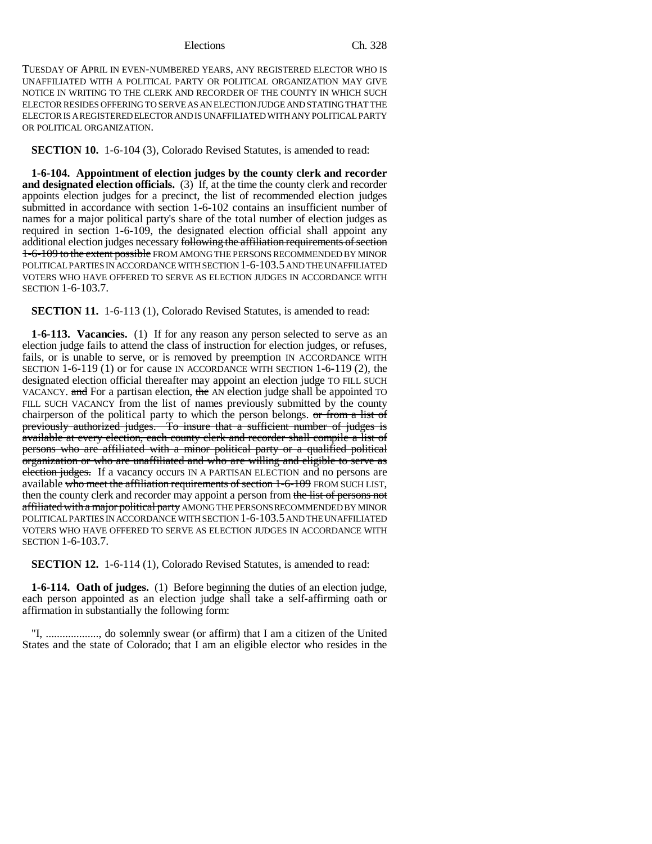TUESDAY OF APRIL IN EVEN-NUMBERED YEARS, ANY REGISTERED ELECTOR WHO IS UNAFFILIATED WITH A POLITICAL PARTY OR POLITICAL ORGANIZATION MAY GIVE NOTICE IN WRITING TO THE CLERK AND RECORDER OF THE COUNTY IN WHICH SUCH ELECTOR RESIDES OFFERING TO SERVE AS AN ELECTION JUDGE AND STATING THAT THE ELECTOR IS A REGISTERED ELECTOR AND IS UNAFFILIATED WITH ANY POLITICAL PARTY OR POLITICAL ORGANIZATION.

**SECTION 10.** 1-6-104 (3), Colorado Revised Statutes, is amended to read:

**1-6-104. Appointment of election judges by the county clerk and recorder and designated election officials.** (3) If, at the time the county clerk and recorder appoints election judges for a precinct, the list of recommended election judges submitted in accordance with section 1-6-102 contains an insufficient number of names for a major political party's share of the total number of election judges as required in section 1-6-109, the designated election official shall appoint any additional election judges necessary following the affiliation requirements of section 1-6-109 to the extent possible FROM AMONG THE PERSONS RECOMMENDED BY MINOR POLITICAL PARTIES IN ACCORDANCE WITH SECTION 1-6-103.5 AND THE UNAFFILIATED VOTERS WHO HAVE OFFERED TO SERVE AS ELECTION JUDGES IN ACCORDANCE WITH SECTION 1-6-103.7.

**SECTION 11.** 1-6-113 (1), Colorado Revised Statutes, is amended to read:

**1-6-113. Vacancies.** (1) If for any reason any person selected to serve as an election judge fails to attend the class of instruction for election judges, or refuses, fails, or is unable to serve, or is removed by preemption IN ACCORDANCE WITH SECTION 1-6-119 (1) or for cause IN ACCORDANCE WITH SECTION 1-6-119 (2), the designated election official thereafter may appoint an election judge TO FILL SUCH VACANCY. and For a partisan election, the AN election judge shall be appointed TO FILL SUCH VACANCY from the list of names previously submitted by the county chairperson of the political party to which the person belongs. or from a list of previously authorized judges. To insure that a sufficient number of judges is available at every election, each county clerk and recorder shall compile a list of persons who are affiliated with a minor political party or a qualified political organization or who are unaffiliated and who are willing and eligible to serve as election judges. If a vacancy occurs IN A PARTISAN ELECTION and no persons are available who meet the affiliation requirements of section 1-6-109 FROM SUCH LIST, then the county clerk and recorder may appoint a person from the list of persons not affiliated with a major political party AMONG THE PERSONS RECOMMENDED BY MINOR POLITICAL PARTIES IN ACCORDANCE WITH SECTION 1-6-103.5 AND THE UNAFFILIATED VOTERS WHO HAVE OFFERED TO SERVE AS ELECTION JUDGES IN ACCORDANCE WITH SECTION 1-6-103.7.

**SECTION 12.** 1-6-114 (1), Colorado Revised Statutes, is amended to read:

**1-6-114. Oath of judges.** (1) Before beginning the duties of an election judge, each person appointed as an election judge shall take a self-affirming oath or affirmation in substantially the following form:

"I, ..................., do solemnly swear (or affirm) that I am a citizen of the United States and the state of Colorado; that I am an eligible elector who resides in the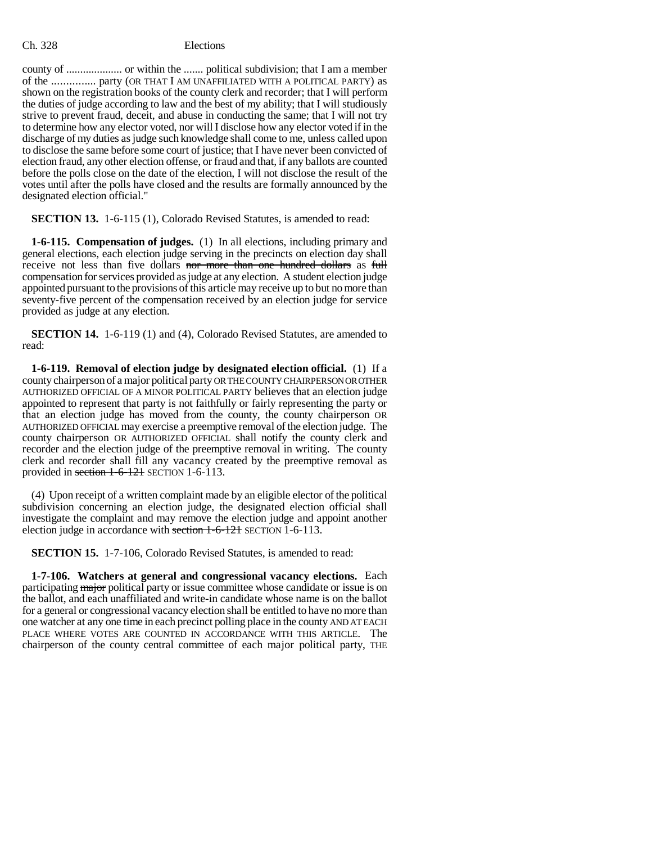county of .................... or within the ....... political subdivision; that I am a member of the ............... party (OR THAT I AM UNAFFILIATED WITH A POLITICAL PARTY) as shown on the registration books of the county clerk and recorder; that I will perform the duties of judge according to law and the best of my ability; that I will studiously strive to prevent fraud, deceit, and abuse in conducting the same; that I will not try to determine how any elector voted, nor will I disclose how any elector voted if in the discharge of my duties as judge such knowledge shall come to me, unless called upon to disclose the same before some court of justice; that I have never been convicted of election fraud, any other election offense, or fraud and that, if any ballots are counted before the polls close on the date of the election, I will not disclose the result of the votes until after the polls have closed and the results are formally announced by the designated election official."

**SECTION 13.** 1-6-115 (1), Colorado Revised Statutes, is amended to read:

**1-6-115. Compensation of judges.** (1) In all elections, including primary and general elections, each election judge serving in the precincts on election day shall receive not less than five dollars nor more than one hundred dollars as full compensation for services provided as judge at any election. A student election judge appointed pursuant to the provisions of this article may receive up to but no more than seventy-five percent of the compensation received by an election judge for service provided as judge at any election.

**SECTION 14.** 1-6-119 (1) and (4), Colorado Revised Statutes, are amended to read:

**1-6-119. Removal of election judge by designated election official.** (1) If a county chairperson of a major political party OR THE COUNTY CHAIRPERSON OR OTHER AUTHORIZED OFFICIAL OF A MINOR POLITICAL PARTY believes that an election judge appointed to represent that party is not faithfully or fairly representing the party or that an election judge has moved from the county, the county chairperson OR AUTHORIZED OFFICIAL may exercise a preemptive removal of the election judge. The county chairperson OR AUTHORIZED OFFICIAL shall notify the county clerk and recorder and the election judge of the preemptive removal in writing. The county clerk and recorder shall fill any vacancy created by the preemptive removal as provided in section 1-6-121 SECTION 1-6-113.

(4) Upon receipt of a written complaint made by an eligible elector of the political subdivision concerning an election judge, the designated election official shall investigate the complaint and may remove the election judge and appoint another election judge in accordance with section 1-6-121 SECTION 1-6-113.

**SECTION 15.** 1-7-106, Colorado Revised Statutes, is amended to read:

**1-7-106. Watchers at general and congressional vacancy elections.** Each participating major political party or issue committee whose candidate or issue is on the ballot, and each unaffiliated and write-in candidate whose name is on the ballot for a general or congressional vacancy election shall be entitled to have no more than one watcher at any one time in each precinct polling place in the county AND AT EACH PLACE WHERE VOTES ARE COUNTED IN ACCORDANCE WITH THIS ARTICLE. The chairperson of the county central committee of each major political party, THE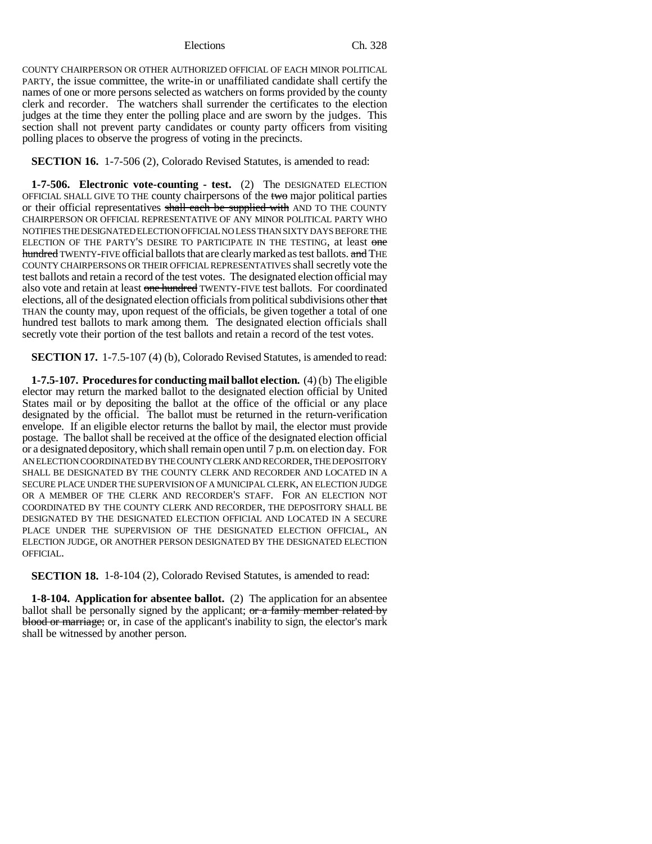COUNTY CHAIRPERSON OR OTHER AUTHORIZED OFFICIAL OF EACH MINOR POLITICAL PARTY, the issue committee, the write-in or unaffiliated candidate shall certify the names of one or more persons selected as watchers on forms provided by the county clerk and recorder. The watchers shall surrender the certificates to the election judges at the time they enter the polling place and are sworn by the judges. This section shall not prevent party candidates or county party officers from visiting polling places to observe the progress of voting in the precincts.

**SECTION 16.** 1-7-506 (2), Colorado Revised Statutes, is amended to read:

**1-7-506. Electronic vote-counting - test.** (2) The DESIGNATED ELECTION OFFICIAL SHALL GIVE TO THE county chairpersons of the two major political parties or their official representatives shall each be supplied with AND TO THE COUNTY CHAIRPERSON OR OFFICIAL REPRESENTATIVE OF ANY MINOR POLITICAL PARTY WHO NOTIFIES THE DESIGNATED ELECTION OFFICIAL NO LESS THAN SIXTY DAYS BEFORE THE ELECTION OF THE PARTY'S DESIRE TO PARTICIPATE IN THE TESTING, at least one hundred TWENTY-FIVE official ballots that are clearly marked as test ballots. and THE COUNTY CHAIRPERSONS OR THEIR OFFICIAL REPRESENTATIVES shall secretly vote the test ballots and retain a record of the test votes. The designated election official may also vote and retain at least one hundred TWENTY-FIVE test ballots. For coordinated elections, all of the designated election officials from political subdivisions other that THAN the county may, upon request of the officials, be given together a total of one hundred test ballots to mark among them. The designated election officials shall secretly vote their portion of the test ballots and retain a record of the test votes.

**SECTION 17.** 1-7.5-107 (4) (b), Colorado Revised Statutes, is amended to read:

**1-7.5-107. Procedures for conducting mail ballot election.** (4) (b) The eligible elector may return the marked ballot to the designated election official by United States mail or by depositing the ballot at the office of the official or any place designated by the official. The ballot must be returned in the return-verification envelope. If an eligible elector returns the ballot by mail, the elector must provide postage. The ballot shall be received at the office of the designated election official or a designated depository, which shall remain open until 7 p.m. on election day. FOR AN ELECTION COORDINATED BY THE COUNTY CLERK AND RECORDER, THE DEPOSITORY SHALL BE DESIGNATED BY THE COUNTY CLERK AND RECORDER AND LOCATED IN A SECURE PLACE UNDER THE SUPERVISION OF A MUNICIPAL CLERK, AN ELECTION JUDGE OR A MEMBER OF THE CLERK AND RECORDER'S STAFF. FOR AN ELECTION NOT COORDINATED BY THE COUNTY CLERK AND RECORDER, THE DEPOSITORY SHALL BE DESIGNATED BY THE DESIGNATED ELECTION OFFICIAL AND LOCATED IN A SECURE PLACE UNDER THE SUPERVISION OF THE DESIGNATED ELECTION OFFICIAL, AN ELECTION JUDGE, OR ANOTHER PERSON DESIGNATED BY THE DESIGNATED ELECTION OFFICIAL.

**SECTION 18.** 1-8-104 (2), Colorado Revised Statutes, is amended to read:

**1-8-104. Application for absentee ballot.** (2) The application for an absentee ballot shall be personally signed by the applicant; or a family member related by blood or marriage; or, in case of the applicant's inability to sign, the elector's mark shall be witnessed by another person.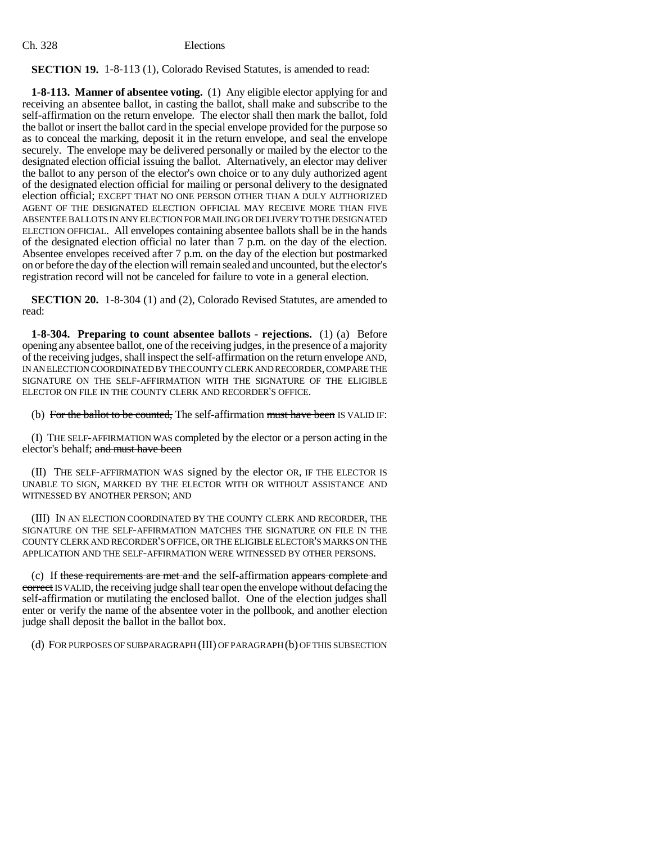# **SECTION 19.** 1-8-113 (1), Colorado Revised Statutes, is amended to read:

**1-8-113. Manner of absentee voting.** (1) Any eligible elector applying for and receiving an absentee ballot, in casting the ballot, shall make and subscribe to the self-affirmation on the return envelope. The elector shall then mark the ballot, fold the ballot or insert the ballot card in the special envelope provided for the purpose so as to conceal the marking, deposit it in the return envelope, and seal the envelope securely. The envelope may be delivered personally or mailed by the elector to the designated election official issuing the ballot. Alternatively, an elector may deliver the ballot to any person of the elector's own choice or to any duly authorized agent of the designated election official for mailing or personal delivery to the designated election official; EXCEPT THAT NO ONE PERSON OTHER THAN A DULY AUTHORIZED AGENT OF THE DESIGNATED ELECTION OFFICIAL MAY RECEIVE MORE THAN FIVE ABSENTEE BALLOTS IN ANY ELECTION FOR MAILING OR DELIVERY TO THE DESIGNATED ELECTION OFFICIAL. All envelopes containing absentee ballots shall be in the hands of the designated election official no later than 7 p.m. on the day of the election. Absentee envelopes received after 7 p.m. on the day of the election but postmarked on or before the day of the election will remain sealed and uncounted, but the elector's registration record will not be canceled for failure to vote in a general election.

**SECTION 20.** 1-8-304 (1) and (2), Colorado Revised Statutes, are amended to read:

**1-8-304. Preparing to count absentee ballots - rejections.** (1) (a) Before opening any absentee ballot, one of the receiving judges, in the presence of a majority of the receiving judges, shall inspect the self-affirmation on the return envelope AND, IN AN ELECTION COORDINATED BY THE COUNTY CLERK AND RECORDER, COMPARE THE SIGNATURE ON THE SELF-AFFIRMATION WITH THE SIGNATURE OF THE ELIGIBLE ELECTOR ON FILE IN THE COUNTY CLERK AND RECORDER'S OFFICE.

(b) For the ballot to be counted, The self-affirmation must have been IS VALID IF:

(I) THE SELF-AFFIRMATION WAS completed by the elector or a person acting in the elector's behalf; and must have been

(II) THE SELF-AFFIRMATION WAS signed by the elector OR, IF THE ELECTOR IS UNABLE TO SIGN, MARKED BY THE ELECTOR WITH OR WITHOUT ASSISTANCE AND WITNESSED BY ANOTHER PERSON; AND

(III) IN AN ELECTION COORDINATED BY THE COUNTY CLERK AND RECORDER, THE SIGNATURE ON THE SELF-AFFIRMATION MATCHES THE SIGNATURE ON FILE IN THE COUNTY CLERK AND RECORDER'S OFFICE, OR THE ELIGIBLE ELECTOR'S MARKS ON THE APPLICATION AND THE SELF-AFFIRMATION WERE WITNESSED BY OTHER PERSONS.

(c) If these requirements are met and the self-affirmation appears complete and correct IS VALID, the receiving judge shall tear open the envelope without defacing the self-affirmation or mutilating the enclosed ballot. One of the election judges shall enter or verify the name of the absentee voter in the pollbook, and another election judge shall deposit the ballot in the ballot box.

(d) FOR PURPOSES OF SUBPARAGRAPH (III) OF PARAGRAPH (b) OF THIS SUBSECTION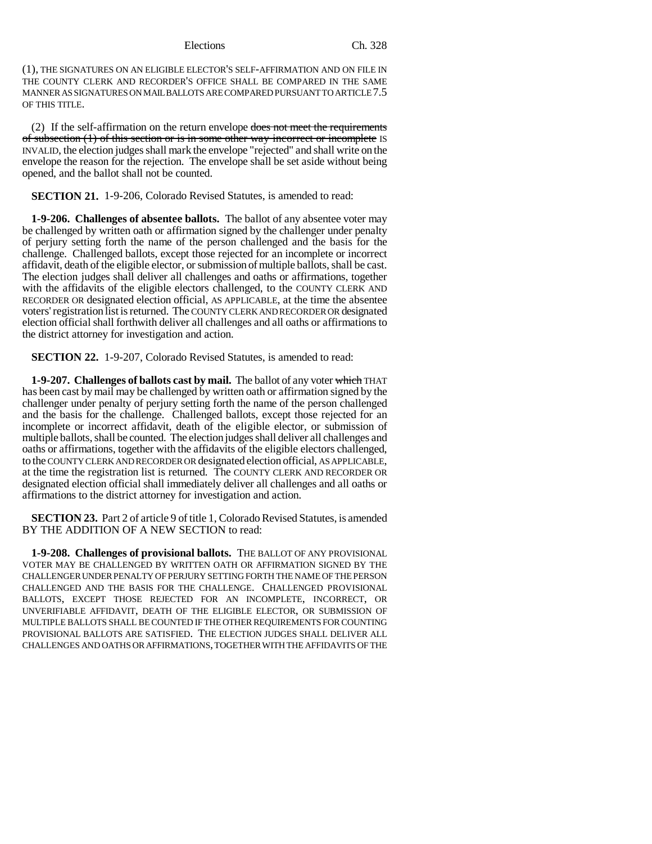(1), THE SIGNATURES ON AN ELIGIBLE ELECTOR'S SELF-AFFIRMATION AND ON FILE IN THE COUNTY CLERK AND RECORDER'S OFFICE SHALL BE COMPARED IN THE SAME MANNER AS SIGNATURES ON MAIL BALLOTS ARE COMPARED PURSUANT TO ARTICLE 7.5 OF THIS TITLE.

(2) If the self-affirmation on the return envelope  $\frac{d}{d}$  and meet the requirements of subsection (1) of this section or is in some other way incorrect or incomplete IS INVALID, the election judges shall mark the envelope "rejected" and shall write on the envelope the reason for the rejection. The envelope shall be set aside without being opened, and the ballot shall not be counted.

**SECTION 21.** 1-9-206, Colorado Revised Statutes, is amended to read:

**1-9-206. Challenges of absentee ballots.** The ballot of any absentee voter may be challenged by written oath or affirmation signed by the challenger under penalty of perjury setting forth the name of the person challenged and the basis for the challenge. Challenged ballots, except those rejected for an incomplete or incorrect affidavit, death of the eligible elector, or submission of multiple ballots, shall be cast. The election judges shall deliver all challenges and oaths or affirmations, together with the affidavits of the eligible electors challenged, to the COUNTY CLERK AND RECORDER OR designated election official, AS APPLICABLE, at the time the absentee voters' registration list is returned. The COUNTY CLERK AND RECORDER OR designated election official shall forthwith deliver all challenges and all oaths or affirmations to the district attorney for investigation and action.

**SECTION 22.** 1-9-207, Colorado Revised Statutes, is amended to read:

**1-9-207. Challenges of ballots cast by mail.** The ballot of any voter which THAT has been cast by mail may be challenged by written oath or affirmation signed by the challenger under penalty of perjury setting forth the name of the person challenged and the basis for the challenge. Challenged ballots, except those rejected for an incomplete or incorrect affidavit, death of the eligible elector, or submission of multiple ballots, shall be counted. The election judges shall deliver all challenges and oaths or affirmations, together with the affidavits of the eligible electors challenged, to the COUNTY CLERK AND RECORDER OR designated election official, AS APPLICABLE, at the time the registration list is returned. The COUNTY CLERK AND RECORDER OR designated election official shall immediately deliver all challenges and all oaths or affirmations to the district attorney for investigation and action.

**SECTION 23.** Part 2 of article 9 of title 1, Colorado Revised Statutes, is amended BY THE ADDITION OF A NEW SECTION to read:

**1-9-208. Challenges of provisional ballots.** THE BALLOT OF ANY PROVISIONAL VOTER MAY BE CHALLENGED BY WRITTEN OATH OR AFFIRMATION SIGNED BY THE CHALLENGER UNDER PENALTY OF PERJURY SETTING FORTH THE NAME OF THE PERSON CHALLENGED AND THE BASIS FOR THE CHALLENGE. CHALLENGED PROVISIONAL BALLOTS, EXCEPT THOSE REJECTED FOR AN INCOMPLETE, INCORRECT, OR UNVERIFIABLE AFFIDAVIT, DEATH OF THE ELIGIBLE ELECTOR, OR SUBMISSION OF MULTIPLE BALLOTS SHALL BE COUNTED IF THE OTHER REQUIREMENTS FOR COUNTING PROVISIONAL BALLOTS ARE SATISFIED. THE ELECTION JUDGES SHALL DELIVER ALL CHALLENGES AND OATHS OR AFFIRMATIONS, TOGETHER WITH THE AFFIDAVITS OF THE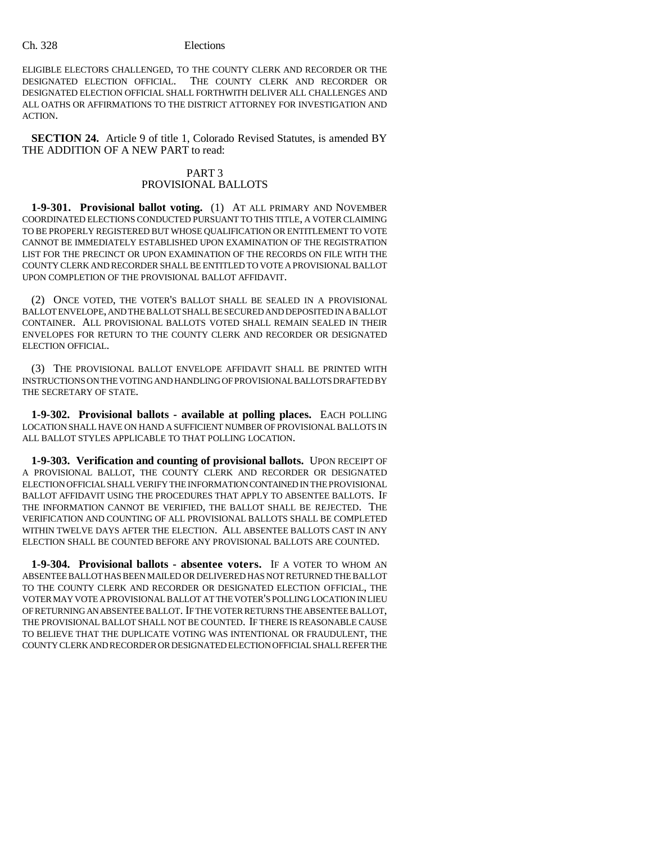ELIGIBLE ELECTORS CHALLENGED, TO THE COUNTY CLERK AND RECORDER OR THE DESIGNATED ELECTION OFFICIAL. THE COUNTY CLERK AND RECORDER OR DESIGNATED ELECTION OFFICIAL SHALL FORTHWITH DELIVER ALL CHALLENGES AND ALL OATHS OR AFFIRMATIONS TO THE DISTRICT ATTORNEY FOR INVESTIGATION AND ACTION.

**SECTION 24.** Article 9 of title 1, Colorado Revised Statutes, is amended BY THE ADDITION OF A NEW PART to read:

# PART 3 PROVISIONAL BALLOTS

**1-9-301. Provisional ballot voting.** (1) AT ALL PRIMARY AND NOVEMBER COORDINATED ELECTIONS CONDUCTED PURSUANT TO THIS TITLE, A VOTER CLAIMING TO BE PROPERLY REGISTERED BUT WHOSE QUALIFICATION OR ENTITLEMENT TO VOTE CANNOT BE IMMEDIATELY ESTABLISHED UPON EXAMINATION OF THE REGISTRATION LIST FOR THE PRECINCT OR UPON EXAMINATION OF THE RECORDS ON FILE WITH THE COUNTY CLERK AND RECORDER SHALL BE ENTITLED TO VOTE A PROVISIONAL BALLOT UPON COMPLETION OF THE PROVISIONAL BALLOT AFFIDAVIT.

(2) ONCE VOTED, THE VOTER'S BALLOT SHALL BE SEALED IN A PROVISIONAL BALLOT ENVELOPE, AND THE BALLOT SHALL BE SECURED AND DEPOSITED IN A BALLOT CONTAINER. ALL PROVISIONAL BALLOTS VOTED SHALL REMAIN SEALED IN THEIR ENVELOPES FOR RETURN TO THE COUNTY CLERK AND RECORDER OR DESIGNATED ELECTION OFFICIAL.

(3) THE PROVISIONAL BALLOT ENVELOPE AFFIDAVIT SHALL BE PRINTED WITH INSTRUCTIONS ON THE VOTING AND HANDLING OF PROVISIONAL BALLOTS DRAFTED BY THE SECRETARY OF STATE.

**1-9-302. Provisional ballots - available at polling places.** EACH POLLING LOCATION SHALL HAVE ON HAND A SUFFICIENT NUMBER OF PROVISIONAL BALLOTS IN ALL BALLOT STYLES APPLICABLE TO THAT POLLING LOCATION.

**1-9-303. Verification and counting of provisional ballots.** UPON RECEIPT OF A PROVISIONAL BALLOT, THE COUNTY CLERK AND RECORDER OR DESIGNATED ELECTION OFFICIAL SHALL VERIFY THE INFORMATION CONTAINED IN THE PROVISIONAL BALLOT AFFIDAVIT USING THE PROCEDURES THAT APPLY TO ABSENTEE BALLOTS. IF THE INFORMATION CANNOT BE VERIFIED, THE BALLOT SHALL BE REJECTED. THE VERIFICATION AND COUNTING OF ALL PROVISIONAL BALLOTS SHALL BE COMPLETED WITHIN TWELVE DAYS AFTER THE ELECTION. ALL ABSENTEE BALLOTS CAST IN ANY ELECTION SHALL BE COUNTED BEFORE ANY PROVISIONAL BALLOTS ARE COUNTED.

**1-9-304. Provisional ballots - absentee voters.** IF A VOTER TO WHOM AN ABSENTEE BALLOT HAS BEEN MAILED OR DELIVERED HAS NOT RETURNED THE BALLOT TO THE COUNTY CLERK AND RECORDER OR DESIGNATED ELECTION OFFICIAL, THE VOTER MAY VOTE A PROVISIONAL BALLOT AT THE VOTER'S POLLING LOCATION IN LIEU OF RETURNING AN ABSENTEE BALLOT. IF THE VOTER RETURNS THE ABSENTEE BALLOT, THE PROVISIONAL BALLOT SHALL NOT BE COUNTED. IF THERE IS REASONABLE CAUSE TO BELIEVE THAT THE DUPLICATE VOTING WAS INTENTIONAL OR FRAUDULENT, THE COUNTY CLERK AND RECORDER OR DESIGNATED ELECTION OFFICIAL SHALL REFER THE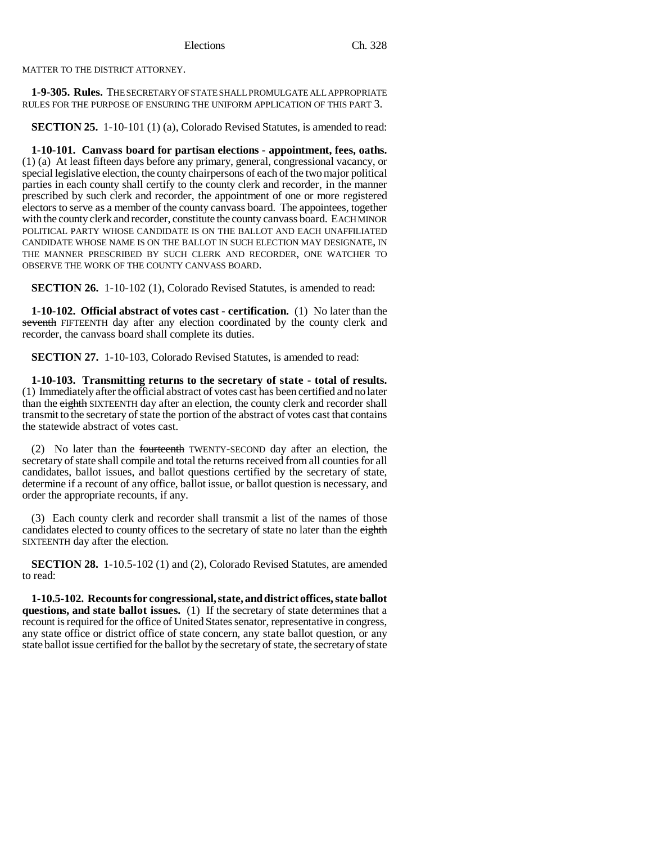MATTER TO THE DISTRICT ATTORNEY.

**1-9-305. Rules.** THE SECRETARY OF STATE SHALL PROMULGATE ALL APPROPRIATE RULES FOR THE PURPOSE OF ENSURING THE UNIFORM APPLICATION OF THIS PART 3.

**SECTION 25.** 1-10-101 (1) (a), Colorado Revised Statutes, is amended to read:

**1-10-101. Canvass board for partisan elections - appointment, fees, oaths.** (1) (a) At least fifteen days before any primary, general, congressional vacancy, or special legislative election, the county chairpersons of each of the two major political parties in each county shall certify to the county clerk and recorder, in the manner prescribed by such clerk and recorder, the appointment of one or more registered electors to serve as a member of the county canvass board. The appointees, together with the county clerk and recorder, constitute the county canvass board. EACH MINOR POLITICAL PARTY WHOSE CANDIDATE IS ON THE BALLOT AND EACH UNAFFILIATED CANDIDATE WHOSE NAME IS ON THE BALLOT IN SUCH ELECTION MAY DESIGNATE, IN THE MANNER PRESCRIBED BY SUCH CLERK AND RECORDER, ONE WATCHER TO OBSERVE THE WORK OF THE COUNTY CANVASS BOARD.

**SECTION 26.** 1-10-102 (1), Colorado Revised Statutes, is amended to read:

**1-10-102. Official abstract of votes cast - certification.** (1) No later than the seventh FIFTEENTH day after any election coordinated by the county clerk and recorder, the canvass board shall complete its duties.

**SECTION 27.** 1-10-103, Colorado Revised Statutes, is amended to read:

**1-10-103. Transmitting returns to the secretary of state - total of results.** (1) Immediately after the official abstract of votes cast has been certified and no later than the eighth SIXTEENTH day after an election, the county clerk and recorder shall transmit to the secretary of state the portion of the abstract of votes cast that contains the statewide abstract of votes cast.

(2) No later than the fourteenth TWENTY-SECOND day after an election, the secretary of state shall compile and total the returns received from all counties for all candidates, ballot issues, and ballot questions certified by the secretary of state, determine if a recount of any office, ballot issue, or ballot question is necessary, and order the appropriate recounts, if any.

(3) Each county clerk and recorder shall transmit a list of the names of those candidates elected to county offices to the secretary of state no later than the eighth SIXTEENTH day after the election.

**SECTION 28.** 1-10.5-102 (1) and (2), Colorado Revised Statutes, are amended to read:

**1-10.5-102. Recounts for congressional, state, and district offices, state ballot questions, and state ballot issues.** (1) If the secretary of state determines that a recount is required for the office of United States senator, representative in congress, any state office or district office of state concern, any state ballot question, or any state ballot issue certified for the ballot by the secretary of state, the secretary of state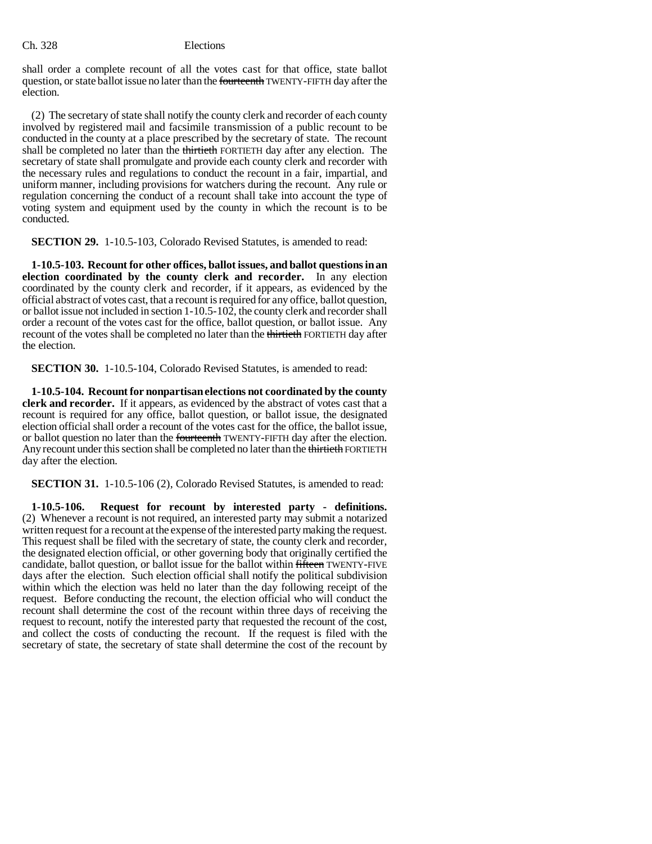shall order a complete recount of all the votes cast for that office, state ballot question, or state ballot issue no later than the fourteenth TWENTY-FIFTH day after the election.

(2) The secretary of state shall notify the county clerk and recorder of each county involved by registered mail and facsimile transmission of a public recount to be conducted in the county at a place prescribed by the secretary of state. The recount shall be completed no later than the thirtieth FORTIETH day after any election. The secretary of state shall promulgate and provide each county clerk and recorder with the necessary rules and regulations to conduct the recount in a fair, impartial, and uniform manner, including provisions for watchers during the recount. Any rule or regulation concerning the conduct of a recount shall take into account the type of voting system and equipment used by the county in which the recount is to be conducted.

**SECTION 29.** 1-10.5-103, Colorado Revised Statutes, is amended to read:

**1-10.5-103. Recount for other offices, ballot issues, and ballot questions in an election coordinated by the county clerk and recorder.** In any election coordinated by the county clerk and recorder, if it appears, as evidenced by the official abstract of votes cast, that a recount is required for any office, ballot question, or ballot issue not included in section 1-10.5-102, the county clerk and recorder shall order a recount of the votes cast for the office, ballot question, or ballot issue. Any recount of the votes shall be completed no later than the thirtieth FORTIETH day after the election.

**SECTION 30.** 1-10.5-104, Colorado Revised Statutes, is amended to read:

**1-10.5-104. Recount for nonpartisan elections not coordinated by the county clerk and recorder.** If it appears, as evidenced by the abstract of votes cast that a recount is required for any office, ballot question, or ballot issue, the designated election official shall order a recount of the votes cast for the office, the ballot issue, or ballot question no later than the fourteenth TWENTY-FIFTH day after the election. Any recount under this section shall be completed no later than the thirtieth FORTIETH day after the election.

**SECTION 31.** 1-10.5-106 (2), Colorado Revised Statutes, is amended to read:

**1-10.5-106. Request for recount by interested party - definitions.** (2) Whenever a recount is not required, an interested party may submit a notarized written request for a recount at the expense of the interested party making the request. This request shall be filed with the secretary of state, the county clerk and recorder, the designated election official, or other governing body that originally certified the candidate, ballot question, or ballot issue for the ballot within fifteen TWENTY-FIVE days after the election. Such election official shall notify the political subdivision within which the election was held no later than the day following receipt of the request. Before conducting the recount, the election official who will conduct the recount shall determine the cost of the recount within three days of receiving the request to recount, notify the interested party that requested the recount of the cost, and collect the costs of conducting the recount. If the request is filed with the secretary of state, the secretary of state shall determine the cost of the recount by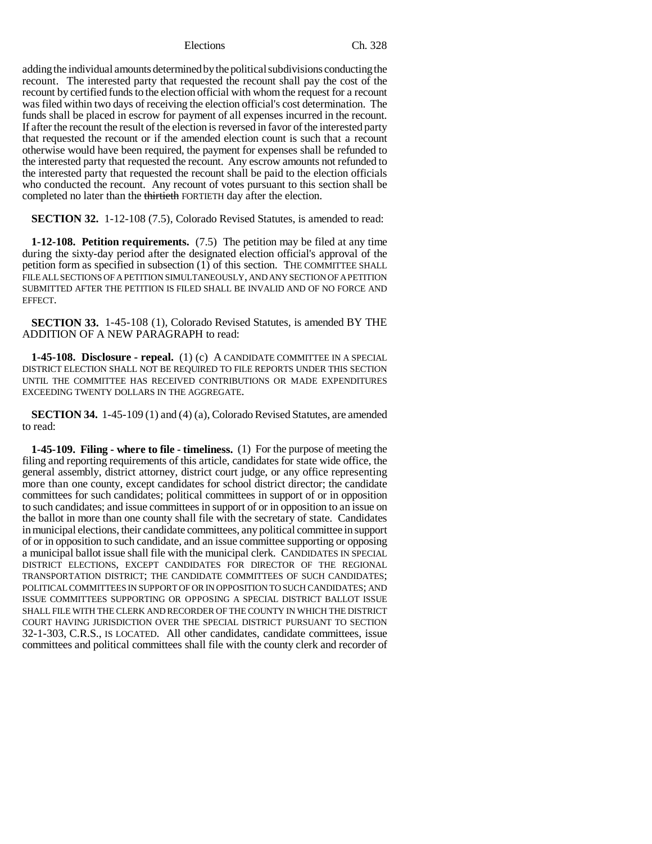adding the individual amounts determined by the political subdivisions conducting the recount. The interested party that requested the recount shall pay the cost of the recount by certified funds to the election official with whom the request for a recount was filed within two days of receiving the election official's cost determination. The funds shall be placed in escrow for payment of all expenses incurred in the recount. If after the recount the result of the election is reversed in favor of the interested party that requested the recount or if the amended election count is such that a recount otherwise would have been required, the payment for expenses shall be refunded to the interested party that requested the recount. Any escrow amounts not refunded to the interested party that requested the recount shall be paid to the election officials who conducted the recount. Any recount of votes pursuant to this section shall be completed no later than the thirtieth FORTIETH day after the election.

**SECTION 32.** 1-12-108 (7.5), Colorado Revised Statutes, is amended to read:

**1-12-108. Petition requirements.** (7.5) The petition may be filed at any time during the sixty-day period after the designated election official's approval of the petition form as specified in subsection (1) of this section. THE COMMITTEE SHALL FILE ALL SECTIONS OF A PETITION SIMULTANEOUSLY, AND ANY SECTION OF A PETITION SUBMITTED AFTER THE PETITION IS FILED SHALL BE INVALID AND OF NO FORCE AND EFFECT.

**SECTION 33.** 1-45-108 (1), Colorado Revised Statutes, is amended BY THE ADDITION OF A NEW PARAGRAPH to read:

**1-45-108. Disclosure - repeal.** (1) (c) A CANDIDATE COMMITTEE IN A SPECIAL DISTRICT ELECTION SHALL NOT BE REQUIRED TO FILE REPORTS UNDER THIS SECTION UNTIL THE COMMITTEE HAS RECEIVED CONTRIBUTIONS OR MADE EXPENDITURES EXCEEDING TWENTY DOLLARS IN THE AGGREGATE.

**SECTION 34.** 1-45-109 (1) and (4) (a), Colorado Revised Statutes, are amended to read:

**1-45-109. Filing - where to file - timeliness.** (1) For the purpose of meeting the filing and reporting requirements of this article, candidates for state wide office, the general assembly, district attorney, district court judge, or any office representing more than one county, except candidates for school district director; the candidate committees for such candidates; political committees in support of or in opposition to such candidates; and issue committees in support of or in opposition to an issue on the ballot in more than one county shall file with the secretary of state. Candidates in municipal elections, their candidate committees, any political committee in support of or in opposition to such candidate, and an issue committee supporting or opposing a municipal ballot issue shall file with the municipal clerk. CANDIDATES IN SPECIAL DISTRICT ELECTIONS, EXCEPT CANDIDATES FOR DIRECTOR OF THE REGIONAL TRANSPORTATION DISTRICT; THE CANDIDATE COMMITTEES OF SUCH CANDIDATES; POLITICAL COMMITTEES IN SUPPORT OF OR IN OPPOSITION TO SUCH CANDIDATES; AND ISSUE COMMITTEES SUPPORTING OR OPPOSING A SPECIAL DISTRICT BALLOT ISSUE SHALL FILE WITH THE CLERK AND RECORDER OF THE COUNTY IN WHICH THE DISTRICT COURT HAVING JURISDICTION OVER THE SPECIAL DISTRICT PURSUANT TO SECTION 32-1-303, C.R.S., IS LOCATED. All other candidates, candidate committees, issue committees and political committees shall file with the county clerk and recorder of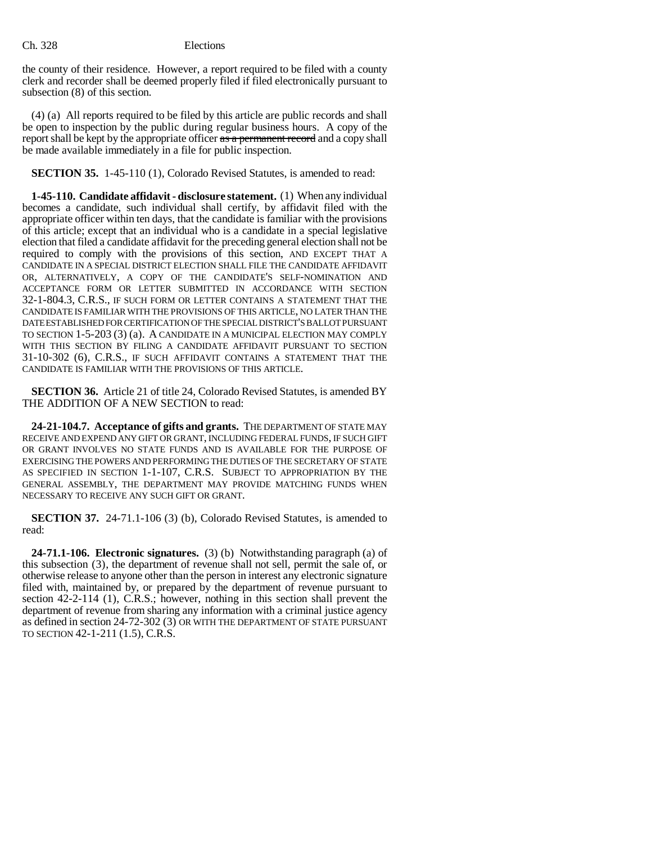the county of their residence. However, a report required to be filed with a county clerk and recorder shall be deemed properly filed if filed electronically pursuant to subsection (8) of this section.

(4) (a) All reports required to be filed by this article are public records and shall be open to inspection by the public during regular business hours. A copy of the report shall be kept by the appropriate officer as a permanent record and a copy shall be made available immediately in a file for public inspection.

**SECTION 35.** 1-45-110 (1), Colorado Revised Statutes, is amended to read:

**1-45-110. Candidate affidavit - disclosure statement.** (1) When any individual becomes a candidate, such individual shall certify, by affidavit filed with the appropriate officer within ten days, that the candidate is familiar with the provisions of this article; except that an individual who is a candidate in a special legislative election that filed a candidate affidavit for the preceding general election shall not be required to comply with the provisions of this section, AND EXCEPT THAT A CANDIDATE IN A SPECIAL DISTRICT ELECTION SHALL FILE THE CANDIDATE AFFIDAVIT OR, ALTERNATIVELY, A COPY OF THE CANDIDATE'S SELF-NOMINATION AND ACCEPTANCE FORM OR LETTER SUBMITTED IN ACCORDANCE WITH SECTION 32-1-804.3, C.R.S., IF SUCH FORM OR LETTER CONTAINS A STATEMENT THAT THE CANDIDATE IS FAMILIAR WITH THE PROVISIONS OF THIS ARTICLE, NO LATER THAN THE DATE ESTABLISHED FOR CERTIFICATION OF THE SPECIAL DISTRICT'S BALLOT PURSUANT TO SECTION 1-5-203 (3) (a). A CANDIDATE IN A MUNICIPAL ELECTION MAY COMPLY WITH THIS SECTION BY FILING A CANDIDATE AFFIDAVIT PURSUANT TO SECTION 31-10-302 (6), C.R.S., IF SUCH AFFIDAVIT CONTAINS A STATEMENT THAT THE CANDIDATE IS FAMILIAR WITH THE PROVISIONS OF THIS ARTICLE.

**SECTION 36.** Article 21 of title 24, Colorado Revised Statutes, is amended BY THE ADDITION OF A NEW SECTION to read:

**24-21-104.7. Acceptance of gifts and grants.** THE DEPARTMENT OF STATE MAY RECEIVE AND EXPEND ANY GIFT OR GRANT, INCLUDING FEDERAL FUNDS, IF SUCH GIFT OR GRANT INVOLVES NO STATE FUNDS AND IS AVAILABLE FOR THE PURPOSE OF EXERCISING THE POWERS AND PERFORMING THE DUTIES OF THE SECRETARY OF STATE AS SPECIFIED IN SECTION 1-1-107, C.R.S. SUBJECT TO APPROPRIATION BY THE GENERAL ASSEMBLY, THE DEPARTMENT MAY PROVIDE MATCHING FUNDS WHEN NECESSARY TO RECEIVE ANY SUCH GIFT OR GRANT.

**SECTION 37.** 24-71.1-106 (3) (b), Colorado Revised Statutes, is amended to read:

**24-71.1-106. Electronic signatures.** (3) (b) Notwithstanding paragraph (a) of this subsection (3), the department of revenue shall not sell, permit the sale of, or otherwise release to anyone other than the person in interest any electronic signature filed with, maintained by, or prepared by the department of revenue pursuant to section 42-2-114 (1), C.R.S.; however, nothing in this section shall prevent the department of revenue from sharing any information with a criminal justice agency as defined in section 24-72-302 (3) OR WITH THE DEPARTMENT OF STATE PURSUANT TO SECTION 42-1-211 (1.5), C.R.S.